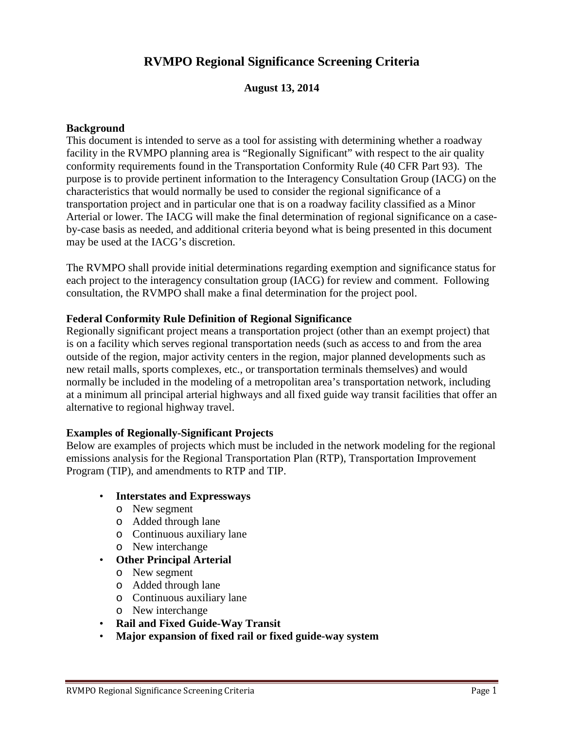## **RVMPO Regional Significance Screening Criteria**

### **August 13, 2014**

#### **Background**

This document is intended to serve as a tool for assisting with determining whether a roadway facility in the RVMPO planning area is "Regionally Significant" with respect to the air quality conformity requirements found in the Transportation Conformity Rule (40 CFR Part 93). The purpose is to provide pertinent information to the Interagency Consultation Group (IACG) on the characteristics that would normally be used to consider the regional significance of a transportation project and in particular one that is on a roadway facility classified as a Minor Arterial or lower. The IACG will make the final determination of regional significance on a caseby-case basis as needed, and additional criteria beyond what is being presented in this document may be used at the IACG's discretion.

The RVMPO shall provide initial determinations regarding exemption and significance status for each project to the interagency consultation group (IACG) for review and comment. Following consultation, the RVMPO shall make a final determination for the project pool.

#### **Federal Conformity Rule Definition of Regional Significance**

Regionally significant project means a transportation project (other than an exempt project) that is on a facility which serves regional transportation needs (such as access to and from the area outside of the region, major activity centers in the region, major planned developments such as new retail malls, sports complexes, etc., or transportation terminals themselves) and would normally be included in the modeling of a metropolitan area's transportation network, including at a minimum all principal arterial highways and all fixed guide way transit facilities that offer an alternative to regional highway travel.

#### **Examples of Regionally-Significant Projects**

Below are examples of projects which must be included in the network modeling for the regional emissions analysis for the Regional Transportation Plan (RTP), Transportation Improvement Program (TIP), and amendments to RTP and TIP.

- **Interstates and Expressways**
	- o New segment
	- o Added through lane
	- o Continuous auxiliary lane
	- o New interchange
- **Other Principal Arterial**
	- o New segment
	- o Added through lane
	- o Continuous auxiliary lane
	- o New interchange
- **Rail and Fixed Guide-Way Transit**
- **Major expansion of fixed rail or fixed guide-way system**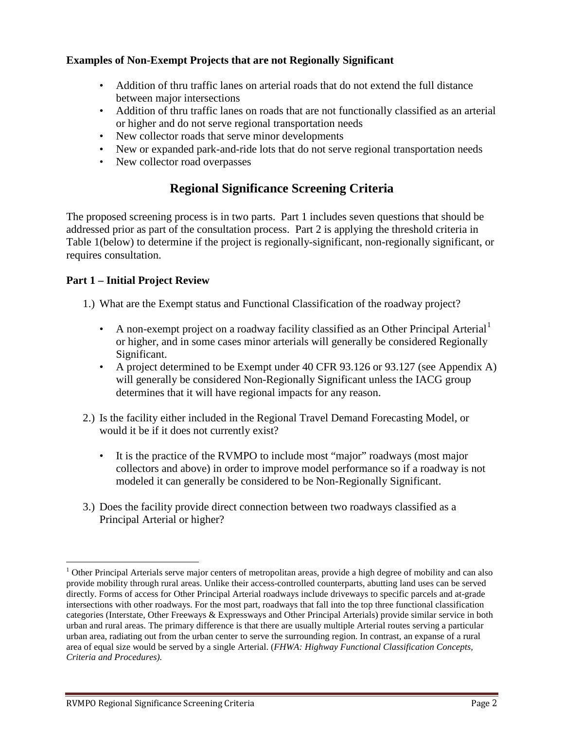### **Examples of Non-Exempt Projects that are not Regionally Significant**

- Addition of thru traffic lanes on arterial roads that do not extend the full distance between major intersections
- Addition of thru traffic lanes on roads that are not functionally classified as an arterial or higher and do not serve regional transportation needs
- New collector roads that serve minor developments
- New or expanded park-and-ride lots that do not serve regional transportation needs
- New collector road overpasses

# **Regional Significance Screening Criteria**

The proposed screening process is in two parts. Part 1 includes seven questions that should be addressed prior as part of the consultation process. Part 2 is applying the threshold criteria in Table 1(below) to determine if the project is regionally-significant, non-regionally significant, or requires consultation.

### **Part 1 – Initial Project Review**

1.) What are the Exempt status and Functional Classification of the roadway project?

- A non-exempt project on a roadway facility classified as an Other Principal Arterial<sup>[1](#page-1-0)</sup> or higher, and in some cases minor arterials will generally be considered Regionally Significant.
- A project determined to be Exempt under 40 CFR 93.126 or 93.127 (see Appendix A) will generally be considered Non-Regionally Significant unless the IACG group determines that it will have regional impacts for any reason.
- 2.) Is the facility either included in the Regional Travel Demand Forecasting Model, or would it be if it does not currently exist?
	- It is the practice of the RVMPO to include most "major" roadways (most major collectors and above) in order to improve model performance so if a roadway is not modeled it can generally be considered to be Non-Regionally Significant.
- 3.) Does the facility provide direct connection between two roadways classified as a Principal Arterial or higher?

 $\overline{a}$ 

<span id="page-1-0"></span><sup>&</sup>lt;sup>1</sup> Other Principal Arterials serve major centers of metropolitan areas, provide a high degree of mobility and can also provide mobility through rural areas. Unlike their access-controlled counterparts, abutting land uses can be served directly. Forms of access for Other Principal Arterial roadways include driveways to specific parcels and at-grade intersections with other roadways. For the most part, roadways that fall into the top three functional classification categories (Interstate, Other Freeways & Expressways and Other Principal Arterials) provide similar service in both urban and rural areas. The primary difference is that there are usually multiple Arterial routes serving a particular urban area, radiating out from the urban center to serve the surrounding region. In contrast, an expanse of a rural area of equal size would be served by a single Arterial. (*FHWA: Highway Functional Classification Concepts, Criteria and Procedures).*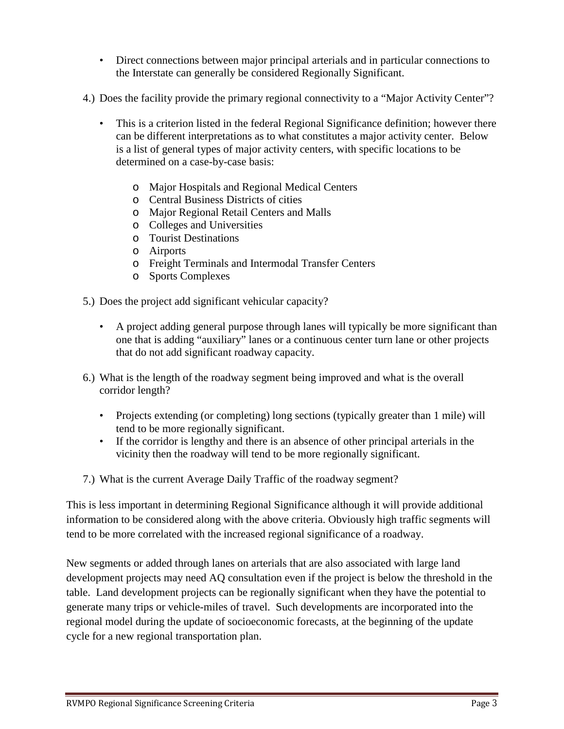- Direct connections between major principal arterials and in particular connections to the Interstate can generally be considered Regionally Significant.
- 4.) Does the facility provide the primary regional connectivity to a "Major Activity Center"?
	- This is a criterion listed in the federal Regional Significance definition; however there can be different interpretations as to what constitutes a major activity center. Below is a list of general types of major activity centers, with specific locations to be determined on a case-by-case basis:
		- o Major Hospitals and Regional Medical Centers
		- o Central Business Districts of cities
		- o Major Regional Retail Centers and Malls
		- o Colleges and Universities
		- o Tourist Destinations
		- o Airports
		- o Freight Terminals and Intermodal Transfer Centers
		- o Sports Complexes
- 5.) Does the project add significant vehicular capacity?
	- A project adding general purpose through lanes will typically be more significant than one that is adding "auxiliary" lanes or a continuous center turn lane or other projects that do not add significant roadway capacity.
- 6.) What is the length of the roadway segment being improved and what is the overall corridor length?
	- Projects extending (or completing) long sections (typically greater than 1 mile) will tend to be more regionally significant.
	- If the corridor is lengthy and there is an absence of other principal arterials in the vicinity then the roadway will tend to be more regionally significant.
- 7.) What is the current Average Daily Traffic of the roadway segment?

This is less important in determining Regional Significance although it will provide additional information to be considered along with the above criteria. Obviously high traffic segments will tend to be more correlated with the increased regional significance of a roadway.

New segments or added through lanes on arterials that are also associated with large land development projects may need AQ consultation even if the project is below the threshold in the table. Land development projects can be regionally significant when they have the potential to generate many trips or vehicle-miles of travel. Such developments are incorporated into the regional model during the update of socioeconomic forecasts, at the beginning of the update cycle for a new regional transportation plan.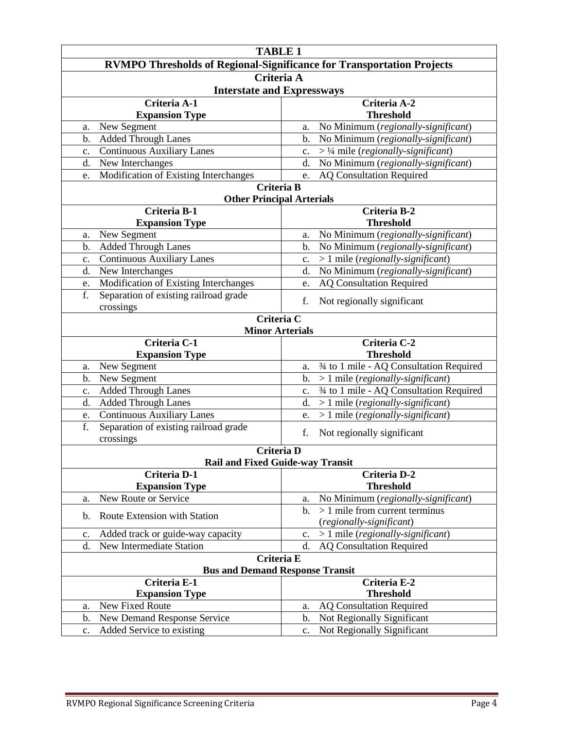| <b>TABLE 1</b><br><b>RVMPO Thresholds of Regional-Significance for Transportation Projects</b><br>Criteria A<br><b>Interstate and Expressways</b> |                                                                                     |                       |                                           |
|---------------------------------------------------------------------------------------------------------------------------------------------------|-------------------------------------------------------------------------------------|-----------------------|-------------------------------------------|
|                                                                                                                                                   |                                                                                     | Criteria A-1          | Criteria A-2                              |
|                                                                                                                                                   |                                                                                     | <b>Expansion Type</b> | <b>Threshold</b>                          |
|                                                                                                                                                   |                                                                                     | New Segment<br>a.     | No Minimum (regionally-significant)<br>a. |
| <b>Added Through Lanes</b><br>b.                                                                                                                  | No Minimum (regionally-significant)<br>b.                                           |                       |                                           |
| <b>Continuous Auxiliary Lanes</b><br>c.                                                                                                           | $>$ <sup>1</sup> / <sub>4</sub> mile (regionally-significant)<br>c.                 |                       |                                           |
| New Interchanges<br>d.                                                                                                                            | No Minimum (regionally-significant)<br>d.                                           |                       |                                           |
| Modification of Existing Interchanges<br>e.                                                                                                       | <b>AQ Consultation Required</b><br>e.                                               |                       |                                           |
| Criteria B<br><b>Other Principal Arterials</b>                                                                                                    |                                                                                     |                       |                                           |
| Criteria B-1                                                                                                                                      | Criteria B-2                                                                        |                       |                                           |
|                                                                                                                                                   | <b>Threshold</b>                                                                    |                       |                                           |
| <b>Expansion Type</b>                                                                                                                             | No Minimum (regionally-significant)                                                 |                       |                                           |
| New Segment<br>a.<br><b>Added Through Lanes</b><br>b.                                                                                             | a.<br>b.                                                                            |                       |                                           |
| <b>Continuous Auxiliary Lanes</b>                                                                                                                 | No Minimum (regionally-significant)                                                 |                       |                                           |
| c.                                                                                                                                                | $> 1$ mile (regionally-significant)<br>$\mathbf{c}$ .                               |                       |                                           |
| New Interchanges<br>d.                                                                                                                            | No Minimum (regionally-significant)<br>d.                                           |                       |                                           |
| Modification of Existing Interchanges<br>e.<br>Separation of existing railroad grade<br>f.                                                        | <b>AQ Consultation Required</b><br>e.                                               |                       |                                           |
| crossings                                                                                                                                         | f.<br>Not regionally significant                                                    |                       |                                           |
| Criteria C                                                                                                                                        |                                                                                     |                       |                                           |
| <b>Minor Arterials</b>                                                                                                                            |                                                                                     |                       |                                           |
| Criteria C-1                                                                                                                                      | Criteria C-2                                                                        |                       |                                           |
| <b>Expansion Type</b>                                                                                                                             | <b>Threshold</b>                                                                    |                       |                                           |
| New Segment<br>a.                                                                                                                                 | 3⁄4 to 1 mile - AQ Consultation Required<br>a.                                      |                       |                                           |
| New Segment<br>b.                                                                                                                                 | > 1 mile (regionally-significant)<br>b.<br>3⁄4 to 1 mile - AQ Consultation Required |                       |                                           |
| <b>Added Through Lanes</b><br>$\mathbf{c}$ .                                                                                                      | $\mathbf{c}$ .                                                                      |                       |                                           |
|                                                                                                                                                   |                                                                                     |                       |                                           |
| <b>Added Through Lanes</b><br>d.                                                                                                                  | $> 1$ mile (regionally-significant)<br>d.                                           |                       |                                           |
| <b>Continuous Auxiliary Lanes</b><br>e.                                                                                                           | $> 1$ mile (regionally-significant)<br>e.                                           |                       |                                           |
| Separation of existing railroad grade<br>f.<br>crossings                                                                                          | f.<br>Not regionally significant                                                    |                       |                                           |
| Criteria D                                                                                                                                        |                                                                                     |                       |                                           |
| <b>Rail and Fixed Guide-way Transit</b>                                                                                                           |                                                                                     |                       |                                           |
| <b>Criteria D-1</b>                                                                                                                               | Criteria D-2                                                                        |                       |                                           |
| <b>Expansion Type</b>                                                                                                                             | <b>Threshold</b>                                                                    |                       |                                           |
| New Route or Service<br>a.                                                                                                                        | No Minimum (regionally-significant)<br>a.                                           |                       |                                           |
| Route Extension with Station<br>b.                                                                                                                | $> 1$ mile from current terminus<br>b.                                              |                       |                                           |
|                                                                                                                                                   | (regionally-significant)                                                            |                       |                                           |
| Added track or guide-way capacity<br>c.                                                                                                           | $> 1$ mile (regionally-significant)<br>c.                                           |                       |                                           |
| New Intermediate Station<br>d.                                                                                                                    | d.<br><b>AQ Consultation Required</b>                                               |                       |                                           |
| Criteria E<br><b>Bus and Demand Response Transit</b>                                                                                              |                                                                                     |                       |                                           |
| Criteria E-1                                                                                                                                      | Criteria E-2                                                                        |                       |                                           |
| <b>Expansion Type</b>                                                                                                                             | <b>Threshold</b>                                                                    |                       |                                           |
| New Fixed Route<br>a.                                                                                                                             | <b>AQ Consultation Required</b><br>a.                                               |                       |                                           |
| New Demand Response Service<br>b.                                                                                                                 | Not Regionally Significant<br>b.<br>Not Regionally Significant                      |                       |                                           |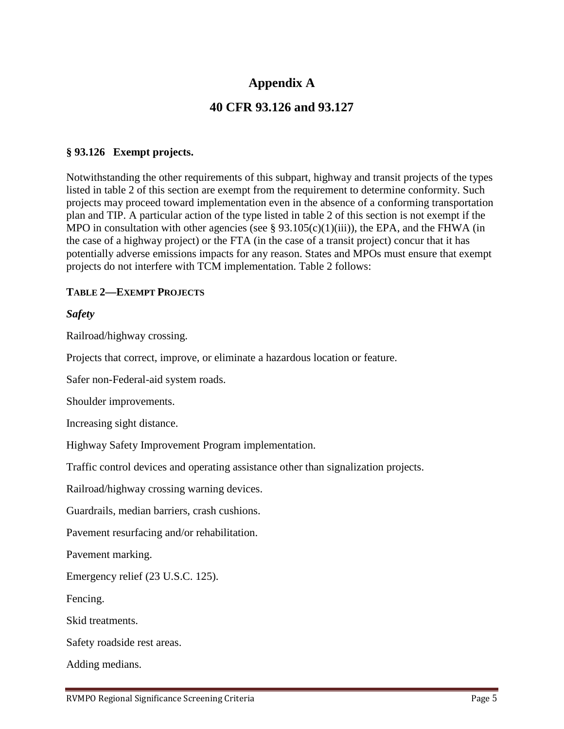# **Appendix A**

## **40 CFR 93.126 and 93.127**

### **§ 93.126 Exempt projects.**

Notwithstanding the other requirements of this subpart, highway and transit projects of the types listed in table 2 of this section are exempt from the requirement to determine conformity. Such projects may proceed toward implementation even in the absence of a conforming transportation plan and TIP. A particular action of the type listed in table 2 of this section is not exempt if the MPO in consultation with other agencies (see  $\S$  93.105(c)(1)(iii)), the EPA, and the FHWA (in the case of a highway project) or the FTA (in the case of a transit project) concur that it has potentially adverse emissions impacts for any reason. States and MPOs must ensure that exempt projects do not interfere with TCM implementation. Table 2 follows:

### **TABLE 2—EXEMPT PROJECTS**

### *Safety*

Railroad/highway crossing.

Projects that correct, improve, or eliminate a hazardous location or feature.

Safer non-Federal-aid system roads.

Shoulder improvements.

Increasing sight distance.

Highway Safety Improvement Program implementation.

Traffic control devices and operating assistance other than signalization projects.

Railroad/highway crossing warning devices.

Guardrails, median barriers, crash cushions.

Pavement resurfacing and/or rehabilitation.

Pavement marking.

Emergency relief (23 U.S.C. 125).

Fencing.

Skid treatments.

Safety roadside rest areas.

Adding medians.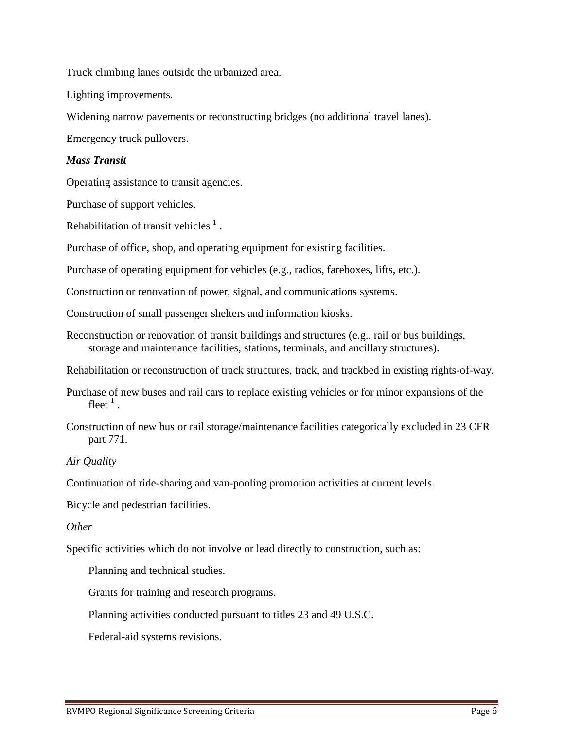Truck climbing lanes outside the urbanized area.

Lighting improvements.

Widening narrow pavements or reconstructing bridges (no additional travel lanes).

Emergency truck pullovers.

#### *Mass Transit*

Operating assistance to transit agencies.

Purchase of support vehicles.

Rehabilitation of transit vehicles  $<sup>1</sup>$ .</sup>

Purchase of office, shop, and operating equipment for existing facilities.

Purchase of operating equipment for vehicles (e.g., radios, fareboxes, lifts, etc.).

Construction or renovation of power, signal, and communications systems.

Construction of small passenger shelters and information kiosks.

Reconstruction or renovation of transit buildings and structures (e.g., rail or bus buildings, storage and maintenance facilities, stations, terminals, and ancillary structures).

Rehabilitation or reconstruction of track structures, track, and trackbed in existing rights-of-way.

- Purchase of new buses and rail cars to replace existing vehicles or for minor expansions of the fleet  $^1$ .
- Construction of new bus or rail storage/maintenance facilities categorically excluded in 23 CFR part 771.

*Air Quality*

Continuation of ride-sharing and van-pooling promotion activities at current levels.

Bicycle and pedestrian facilities.

*Other*

Specific activities which do not involve or lead directly to construction, such as:

Planning and technical studies.

Grants for training and research programs.

Planning activities conducted pursuant to titles 23 and 49 U.S.C.

Federal-aid systems revisions.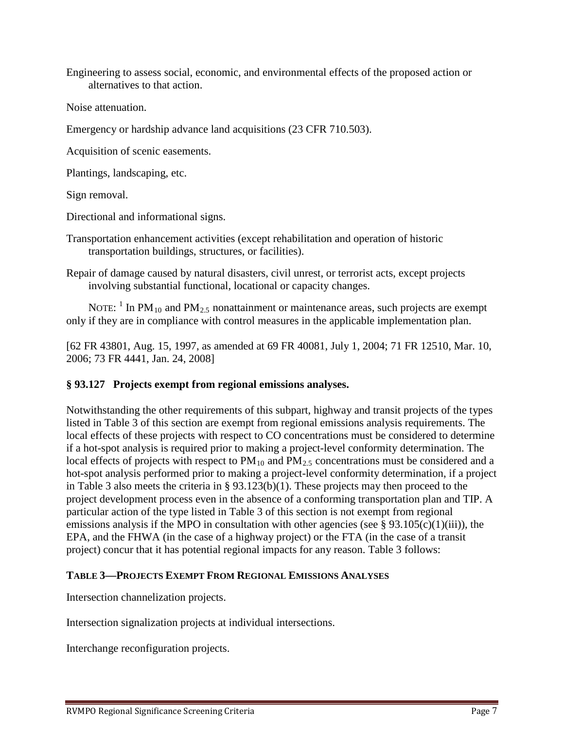Engineering to assess social, economic, and environmental effects of the proposed action or alternatives to that action.

Noise attenuation.

Emergency or hardship advance land acquisitions (23 CFR 710.503).

Acquisition of scenic easements.

Plantings, landscaping, etc.

Sign removal.

Directional and informational signs.

Transportation enhancement activities (except rehabilitation and operation of historic transportation buildings, structures, or facilities).

Repair of damage caused by natural disasters, civil unrest, or terrorist acts, except projects involving substantial functional, locational or capacity changes.

NOTE:  $1 \text{ In PM}_{10}$  and PM<sub>2.5</sub> nonattainment or maintenance areas, such projects are exempt only if they are in compliance with control measures in the applicable implementation plan.

[62 FR 43801, Aug. 15, 1997, as amended at 69 FR 40081, July 1, 2004; 71 FR 12510, Mar. 10, 2006; 73 FR 4441, Jan. 24, 2008]

## **§ 93.127 Projects exempt from regional emissions analyses.**

Notwithstanding the other requirements of this subpart, highway and transit projects of the types listed in Table 3 of this section are exempt from regional emissions analysis requirements. The local effects of these projects with respect to CO concentrations must be considered to determine if a hot-spot analysis is required prior to making a project-level conformity determination. The local effects of projects with respect to  $PM_{10}$  and  $PM_{2.5}$  concentrations must be considered and a hot-spot analysis performed prior to making a project-level conformity determination, if a project in Table 3 also meets the criteria in § 93.123(b)(1). These projects may then proceed to the project development process even in the absence of a conforming transportation plan and TIP. A particular action of the type listed in Table 3 of this section is not exempt from regional emissions analysis if the MPO in consultation with other agencies (see  $\S$  93.105(c)(1)(iii)), the EPA, and the FHWA (in the case of a highway project) or the FTA (in the case of a transit project) concur that it has potential regional impacts for any reason. Table 3 follows:

## **TABLE 3—PROJECTS EXEMPT FROM REGIONAL EMISSIONS ANALYSES**

Intersection channelization projects.

Intersection signalization projects at individual intersections.

Interchange reconfiguration projects.